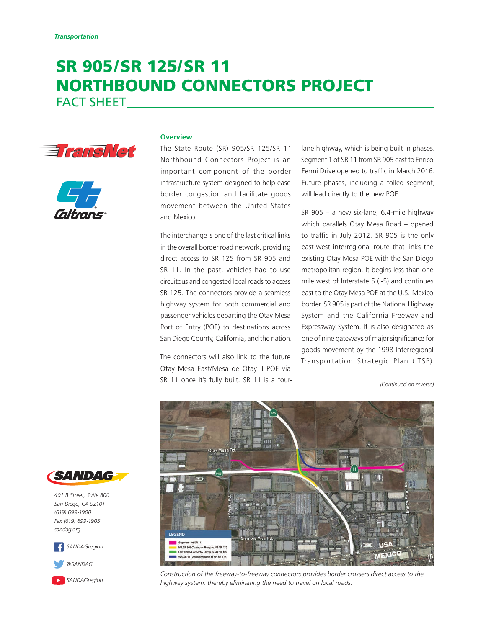# SR 905/SR 125/SR 11 NORTHBOUND CONNECTORS PROJECT

FACT SHEET





### **Overview**

The State Route (SR) 905/SR 125/SR 11 Northbound Connectors Project is an important component of the border infrastructure system designed to help ease border congestion and facilitate goods movement between the United States and Mexico.

The interchange is one of the last critical links in the overall border road network, providing direct access to SR 125 from SR 905 and SR 11. In the past, vehicles had to use circuitous and congested local roads to access SR 125. The connectors provide a seamless highway system for both commercial and passenger vehicles departing the Otay Mesa Port of Entry (POE) to destinations across San Diego County, California, and the nation.

The connectors will also link to the future Otay Mesa East/Mesa de Otay II POE via SR 11 once it's fully built. SR 11 is a four- *(Continued on reverse)*

lane highway, which is being built in phases. Segment 1 of SR 11 from SR 905 east to Enrico Fermi Drive opened to traffic in March 2016. Future phases, including a tolled segment, will lead directly to the new POE.

SR 905 – a new six-lane, 6.4-mile highway which parallels Otay Mesa Road – opened to traffic in July 2012. SR 905 is the only east-west interregional route that links the existing Otay Mesa POE with the San Diego metropolitan region. It begins less than one mile west of Interstate 5 (I-5) and continues east to the Otay Mesa POE at the U.S.-Mexico border. SR 905 is part of the National Highway System and the California Freeway and Expressway System. It is also designated as one of nine gateways of major significance for goods movement by the 1998 Interregional Transportation Strategic Plan (ITSP).



*Construction of the freeway-to-freeway connectors provides border crossers direct access to the highway system, thereby eliminating the need to travel on local roads.*



*401 B Street, Suite 800 San Diego, CA 92101 (619) 699-1900 Fax (619) 699-1905 [sandag.org](http://www.sandag.org)*



*[@SANDAG](https://twitter.com/SANDAG)*

*[SANDAGregion](https://www.youtube.com/user/SANDAGREGION)*